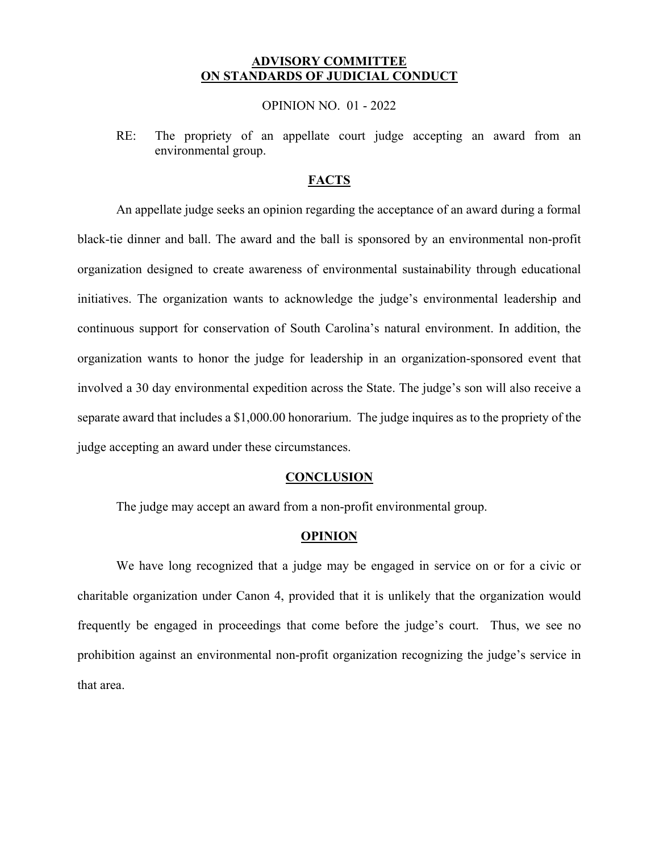## **ADVISORY COMMITTEE ON STANDARDS OF JUDICIAL CONDUCT**

### OPINION NO. 01 - 2022

RE: The propriety of an appellate court judge accepting an award from an environmental group.

# **FACTS**

 separate award that includes a [\\$1,000.00](https://1,000.00) honorarium. The judge inquires as to the propriety of the An appellate judge seeks an opinion regarding the acceptance of an award during a formal black-tie dinner and ball. The award and the ball is sponsored by an environmental non-profit organization designed to create awareness of environmental sustainability through educational initiatives. The organization wants to acknowledge the judge's environmental leadership and continuous support for conservation of South Carolina's natural environment. In addition, the organization wants to honor the judge for leadership in an organization-sponsored event that involved a 30 day environmental expedition across the State. The judge's son will also receive a judge accepting an award under these circumstances.

### **CONCLUSION**

The judge may accept an award from a non-profit environmental group.

#### **OPINION**

We have long recognized that a judge may be engaged in service on or for a civic or charitable organization under Canon 4, provided that it is unlikely that the organization would frequently be engaged in proceedings that come before the judge's court. Thus, we see no prohibition against an environmental non-profit organization recognizing the judge's service in that area.